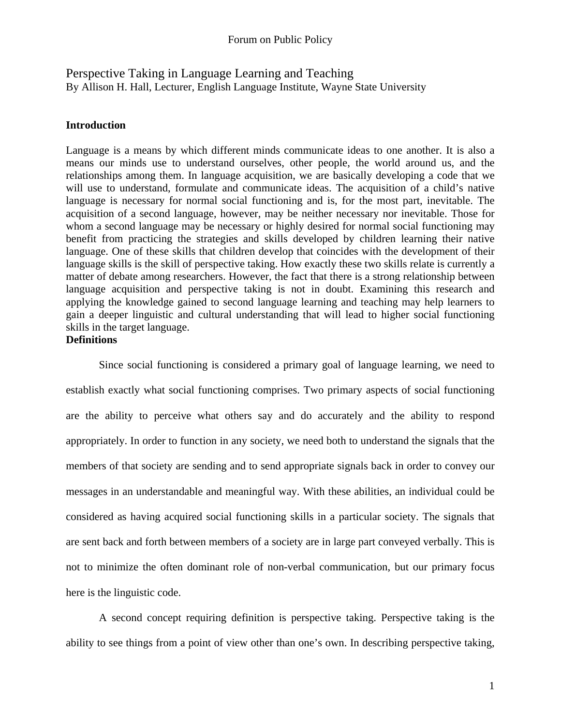Perspective Taking in Language Learning and Teaching By Allison H. Hall, Lecturer, English Language Institute, Wayne State University

# **Introduction**

Language is a means by which different minds communicate ideas to one another. It is also a means our minds use to understand ourselves, other people, the world around us, and the relationships among them. In language acquisition, we are basically developing a code that we will use to understand, formulate and communicate ideas. The acquisition of a child's native language is necessary for normal social functioning and is, for the most part, inevitable. The acquisition of a second language, however, may be neither necessary nor inevitable. Those for whom a second language may be necessary or highly desired for normal social functioning may benefit from practicing the strategies and skills developed by children learning their native language. One of these skills that children develop that coincides with the development of their language skills is the skill of perspective taking. How exactly these two skills relate is currently a matter of debate among researchers. However, the fact that there is a strong relationship between language acquisition and perspective taking is not in doubt. Examining this research and applying the knowledge gained to second language learning and teaching may help learners to gain a deeper linguistic and cultural understanding that will lead to higher social functioning skills in the target language.

# **Definitions**

 Since social functioning is considered a primary goal of language learning, we need to establish exactly what social functioning comprises. Two primary aspects of social functioning are the ability to perceive what others say and do accurately and the ability to respond appropriately. In order to function in any society, we need both to understand the signals that the members of that society are sending and to send appropriate signals back in order to convey our messages in an understandable and meaningful way. With these abilities, an individual could be considered as having acquired social functioning skills in a particular society. The signals that are sent back and forth between members of a society are in large part conveyed verbally. This is not to minimize the often dominant role of non-verbal communication, but our primary focus here is the linguistic code.

 A second concept requiring definition is perspective taking. Perspective taking is the ability to see things from a point of view other than one's own. In describing perspective taking,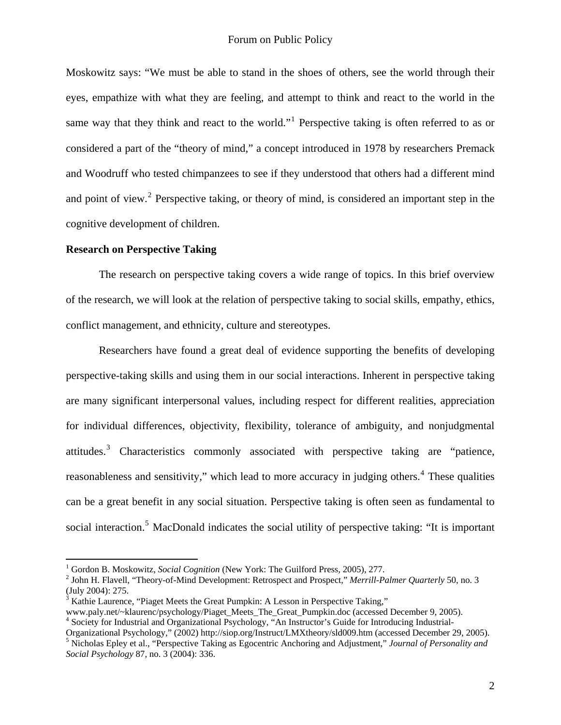Moskowitz says: "We must be able to stand in the shoes of others, see the world through their eyes, empathize with what they are feeling, and attempt to think and react to the world in the same way that they think and react to the world."<sup>[1](#page-1-0)</sup> Perspective taking is often referred to as or considered a part of the "theory of mind," a concept introduced in 1978 by researchers Premack and Woodruff who tested chimpanzees to see if they understood that others had a different mind and point of view.<sup>[2](#page-1-1)</sup> Perspective taking, or theory of mind, is considered an important step in the cognitive development of children.

#### **Research on Perspective Taking**

 $\overline{a}$ 

 The research on perspective taking covers a wide range of topics. In this brief overview of the research, we will look at the relation of perspective taking to social skills, empathy, ethics, conflict management, and ethnicity, culture and stereotypes.

 Researchers have found a great deal of evidence supporting the benefits of developing perspective-taking skills and using them in our social interactions. Inherent in perspective taking are many significant interpersonal values, including respect for different realities, appreciation for individual differences, objectivity, flexibility, tolerance of ambiguity, and nonjudgmental attitudes.<sup>[3](#page-1-2)</sup> Characteristics commonly associated with perspective taking are "patience, reasonableness and sensitivity," which lead to more accuracy in judging others.<sup>[4](#page-1-3)</sup> These qualities can be a great benefit in any social situation. Perspective taking is often seen as fundamental to social interaction.<sup>[5](#page-1-4)</sup> MacDonald indicates the social utility of perspective taking: "It is important

<span id="page-1-0"></span><sup>&</sup>lt;sup>1</sup> Gordon B. Moskowitz, *Social Cognition* (New York: The Guilford Press, 2005), 277.

<span id="page-1-1"></span><sup>&</sup>lt;sup>2</sup> John H. Flavell, "Theory-of-Mind Development: Retrospect and Prospect," Merrill-Palmer Quarterly 50, no. 3 (July 2004): 275.

<span id="page-1-2"></span> $3\overline{)}$  Kathie Laurence, "Piaget Meets the Great Pumpkin: A Lesson in Perspective Taking,"

www.paly.net/~klaurenc/psychology/Piaget\_Meets\_The\_Great\_Pumpkin.doc (accessed December 9, 2005).

<span id="page-1-3"></span><sup>&</sup>lt;sup>4</sup> Society for Industrial and Organizational Psychology, "An Instructor's Guide for Introducing Industrial-

<span id="page-1-4"></span>Organizational Psychology," (2002) http://siop.org/Instruct/LMXtheory/sld009.htm (accessed December 29, 2005). 5 Nicholas Epley et al., "Perspective Taking as Egocentric Anchoring and Adjustment," *Journal of Personality and Social Psychology* 87, no. 3 (2004): 336.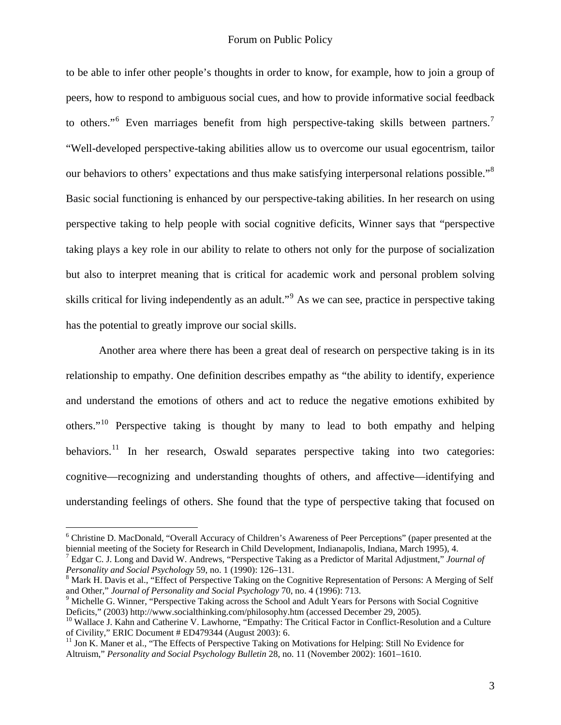to be able to infer other people's thoughts in order to know, for example, how to join a group of peers, how to respond to ambiguous social cues, and how to provide informative social feedback to others."<sup>[6](#page-2-0)</sup> Even marriages benefit from high perspective-taking skills between partners.<sup>[7](#page-2-1)</sup> "Well-developed perspective-taking abilities allow us to overcome our usual egocentrism, tailor our behaviors to others' expectations and thus make satisfying interpersonal relations possible."<sup>[8](#page-2-2)</sup> Basic social functioning is enhanced by our perspective-taking abilities. In her research on using perspective taking to help people with social cognitive deficits, Winner says that "perspective taking plays a key role in our ability to relate to others not only for the purpose of socialization but also to interpret meaning that is critical for academic work and personal problem solving skills critical for living independently as an adult."<sup>[9](#page-2-3)</sup> As we can see, practice in perspective taking has the potential to greatly improve our social skills.

 Another area where there has been a great deal of research on perspective taking is in its relationship to empathy. One definition describes empathy as "the ability to identify, experience and understand the emotions of others and act to reduce the negative emotions exhibited by others."[10](#page-2-4) Perspective taking is thought by many to lead to both empathy and helping behaviors.<sup>[11](#page-2-5)</sup> In her research, Oswald separates perspective taking into two categories: cognitive—recognizing and understanding thoughts of others, and affective—identifying and understanding feelings of others. She found that the type of perspective taking that focused on

<span id="page-2-0"></span><sup>&</sup>lt;sup>6</sup> Christine D. MacDonald, "Overall Accuracy of Children's Awareness of Peer Perceptions" (paper presented at the biennial meeting of the Society for Research in Child Development, Indianapolis, Indiana, March 1995), 4.

<span id="page-2-1"></span>Edgar C. J. Long and David W. Andrews, "Perspective Taking as a Predictor of Marital Adjustment," *Journal of Personality and Social Psychology* 59, no. 1 (1990): 126–131. 8

<span id="page-2-2"></span><sup>&</sup>lt;sup>8</sup> Mark H. Davis et al., "Effect of Perspective Taking on the Cognitive Representation of Persons: A Merging of Self and Other," *Journal of Personality and Social Psychology* 70, no. 4 (1996): 713. 9

<span id="page-2-3"></span><sup>&</sup>lt;sup>9</sup> Michelle G. Winner, "Perspective Taking across the School and Adult Years for Persons with Social Cognitive Deficits," (2003) http://www.socialthinking.com/philosophy.htm (accessed December 29, 2005).<br><sup>10</sup> Wallace J. Kahn and Catherine V. Lawhorne, "Empathy: The Critical Factor in Conflict-Resolution and a Culture

<span id="page-2-4"></span>of Civility," ERIC Document # ED479344 (August 2003): 6.

<span id="page-2-5"></span><sup>&</sup>lt;sup>11</sup> Jon K. Maner et al., "The Effects of Perspective Taking on Motivations for Helping: Still No Evidence for Altruism," *Personality and Social Psychology Bulletin* 28, no. 11 (November 2002): 1601–1610.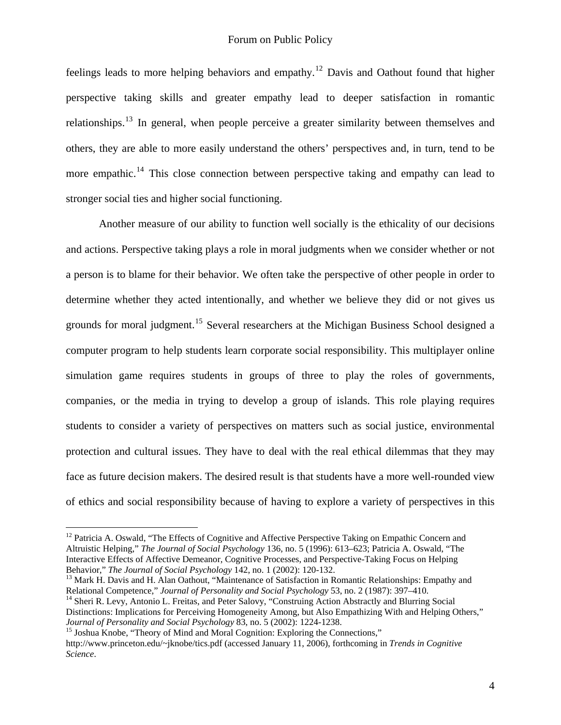feelings leads to more helping behaviors and empathy.<sup>[12](#page-3-0)</sup> Davis and Oathout found that higher perspective taking skills and greater empathy lead to deeper satisfaction in romantic relationships.<sup>[13](#page-3-1)</sup> In general, when people perceive a greater similarity between themselves and others, they are able to more easily understand the others' perspectives and, in turn, tend to be more empathic.<sup>[14](#page-3-2)</sup> This close connection between perspective taking and empathy can lead to stronger social ties and higher social functioning.

 Another measure of our ability to function well socially is the ethicality of our decisions and actions. Perspective taking plays a role in moral judgments when we consider whether or not a person is to blame for their behavior. We often take the perspective of other people in order to determine whether they acted intentionally, and whether we believe they did or not gives us grounds for moral judgment.[15](#page-3-3) Several researchers at the Michigan Business School designed a computer program to help students learn corporate social responsibility. This multiplayer online simulation game requires students in groups of three to play the roles of governments, companies, or the media in trying to develop a group of islands. This role playing requires students to consider a variety of perspectives on matters such as social justice, environmental protection and cultural issues. They have to deal with the real ethical dilemmas that they may face as future decision makers. The desired result is that students have a more well-rounded view of ethics and social responsibility because of having to explore a variety of perspectives in this

<span id="page-3-0"></span><sup>&</sup>lt;sup>12</sup> Patricia A. Oswald, "The Effects of Cognitive and Affective Perspective Taking on Empathic Concern and Altruistic Helping," *The Journal of Social Psychology* 136, no. 5 (1996): 613–623; Patricia A. Oswald, "The Interactive Effects of Affective Demeanor, Cognitive Processes, and Perspective-Taking Focus on Helping Behavior," The Journal of Social Psychology 142, no. 1 (2002): 120-132.

<span id="page-3-1"></span><sup>&</sup>lt;sup>13</sup> Mark H. Davis and H. Alan Oathout, "Maintenance of Satisfaction in Romantic Relationships: Empathy and Relational Competence," *Journal of Personality and Social Psychology* 53, no. 2 (1987): 397–410.

<span id="page-3-2"></span><sup>&</sup>lt;sup>14</sup> Sheri R. Levy, Antonio L. Freitas, and Peter Salovy, "Construing Action Abstractly and Blurring Social Distinctions: Implications for Perceiving Homogeneity Among, but Also Empathizing With and Helping Others,"<br>Journal of Personality and Social Psychology 83, no. 5 (2002): 1224-1238.

<span id="page-3-3"></span><sup>&</sup>lt;sup>15</sup> Joshua Knobe, "Theory of Mind and Moral Cognition: Exploring the Connections," http://www.princeton.edu/~jknobe/tics.pdf (accessed January 11, 2006), forthcoming in *Trends in Cognitive Science*.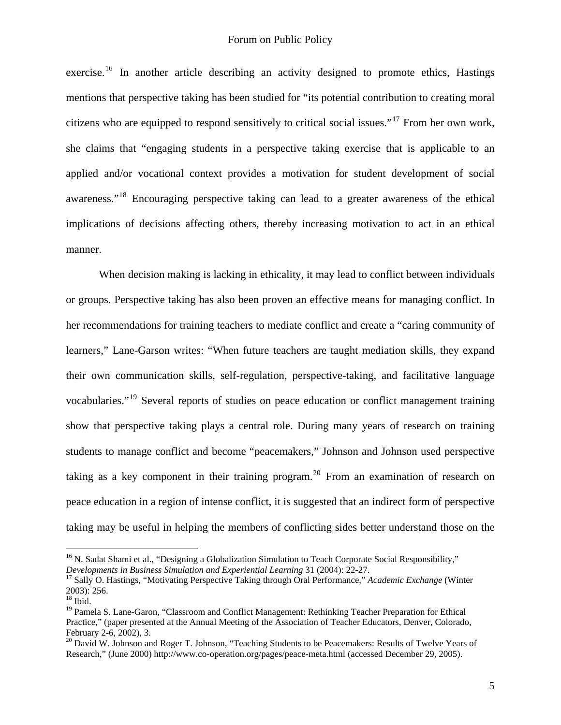exercise.<sup>[16](#page-4-0)</sup> In another article describing an activity designed to promote ethics, Hastings mentions that perspective taking has been studied for "its potential contribution to creating moral citizens who are equipped to respond sensitively to critical social issues."[17](#page-4-1) From her own work, she claims that "engaging students in a perspective taking exercise that is applicable to an applied and/or vocational context provides a motivation for student development of social awareness."[18](#page-4-2) Encouraging perspective taking can lead to a greater awareness of the ethical implications of decisions affecting others, thereby increasing motivation to act in an ethical manner.

When decision making is lacking in ethicality, it may lead to conflict between individuals or groups. Perspective taking has also been proven an effective means for managing conflict. In her recommendations for training teachers to mediate conflict and create a "caring community of learners," Lane-Garson writes: "When future teachers are taught mediation skills, they expand their own communication skills, self-regulation, perspective-taking, and facilitative language vocabularies."[19](#page-4-3) Several reports of studies on peace education or conflict management training show that perspective taking plays a central role. During many years of research on training students to manage conflict and become "peacemakers," Johnson and Johnson used perspective taking as a key component in their training program.<sup>[20](#page-4-4)</sup> From an examination of research on peace education in a region of intense conflict, it is suggested that an indirect form of perspective taking may be useful in helping the members of conflicting sides better understand those on the

<span id="page-4-0"></span><sup>&</sup>lt;sup>16</sup> N. Sadat Shami et al., "Designing a Globalization Simulation to Teach Corporate Social Responsibility,"<br>Developments in Business Simulation and Experiential Learning 31 (2004): 22-27.

<span id="page-4-1"></span><sup>&</sup>lt;sup>17</sup> Sally O. Hastings, "Motivating Perspective Taking through Oral Performance," *Academic Exchange* (Winter 2003): 256.

<span id="page-4-2"></span> $18$  Ibid.

<span id="page-4-3"></span><sup>&</sup>lt;sup>19</sup> Pamela S. Lane-Garon, "Classroom and Conflict Management: Rethinking Teacher Preparation for Ethical Practice," (paper presented at the Annual Meeting of the Association of Teacher Educators, Denver, Colorado, February 2-6, 2002), 3.

<span id="page-4-4"></span><sup>&</sup>lt;sup>20</sup> David W. Johnson and Roger T. Johnson, "Teaching Students to be Peacemakers: Results of Twelve Years of Research," (June 2000) http://www.co-operation.org/pages/peace-meta.html (accessed December 29, 2005).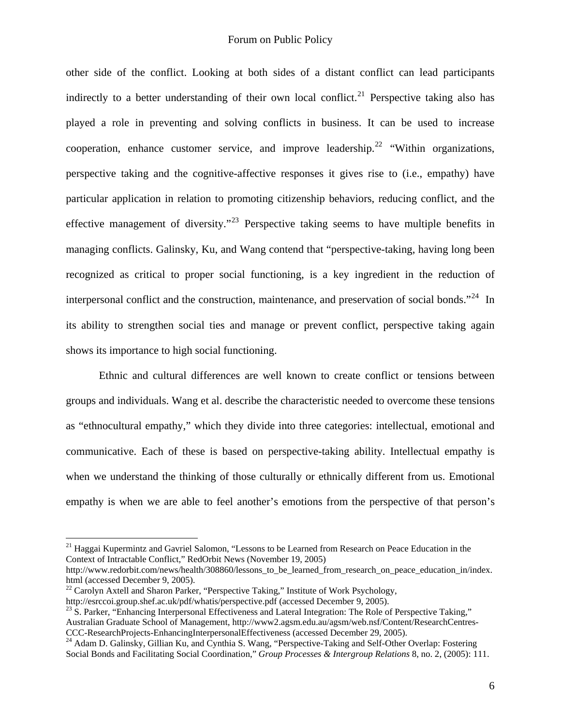other side of the conflict. Looking at both sides of a distant conflict can lead participants indirectly to a better understanding of their own local conflict.<sup>[21](#page-5-0)</sup> Perspective taking also has played a role in preventing and solving conflicts in business. It can be used to increase cooperation, enhance customer service, and improve leadership.<sup>[22](#page-5-1)</sup> "Within organizations, perspective taking and the cognitive-affective responses it gives rise to (i.e., empathy) have particular application in relation to promoting citizenship behaviors, reducing conflict, and the effective management of diversity."<sup>[23](#page-5-2)</sup> Perspective taking seems to have multiple benefits in managing conflicts. Galinsky, Ku, and Wang contend that "perspective-taking, having long been recognized as critical to proper social functioning, is a key ingredient in the reduction of interpersonal conflict and the construction, maintenance, and preservation of social bonds."<sup>[24](#page-5-3)</sup> In its ability to strengthen social ties and manage or prevent conflict, perspective taking again shows its importance to high social functioning.

 Ethnic and cultural differences are well known to create conflict or tensions between groups and individuals. Wang et al. describe the characteristic needed to overcome these tensions as "ethnocultural empathy," which they divide into three categories: intellectual, emotional and communicative. Each of these is based on perspective-taking ability. Intellectual empathy is when we understand the thinking of those culturally or ethnically different from us. Emotional empathy is when we are able to feel another's emotions from the perspective of that person's

<span id="page-5-0"></span><sup>&</sup>lt;sup>21</sup> Haggai Kupermintz and Gavriel Salomon, "Lessons to be Learned from Research on Peace Education in the Context of Intractable Conflict," RedOrbit News (November 19, 2005)

http://www.redorbit.com/news/health/308860/lessons\_to\_be\_learned\_from\_research\_on\_peace\_education\_in/index. html (accessed December 9, 2005).

<span id="page-5-1"></span> $22$  Carolyn Axtell and Sharon Parker, "Perspective Taking," Institute of Work Psychology,

<span id="page-5-2"></span>http://esrccoi.group.shef.ac.uk/pdf/whatis/perspective.pdf (accessed December 9, 2005).<br><sup>23</sup> S. Parker, "Enhancing Interpersonal Effectiveness and Lateral Integration: The Role of Perspective Taking," Australian Graduate School of Management, http://www2.agsm.edu.au/agsm/web.nsf/Content/ResearchCentres-CCC-ResearchProjects-EnhancingInterpersonalEffectiveness (accessed December 29, 2005). 24 Adam D. Galinsky, Gillian Ku, and Cynthia S. Wang, "Perspective-Taking and Self-Other Overlap: Fostering

<span id="page-5-3"></span>Social Bonds and Facilitating Social Coordination," *Group Processes & Intergroup Relations* 8, no. 2, (2005): 111.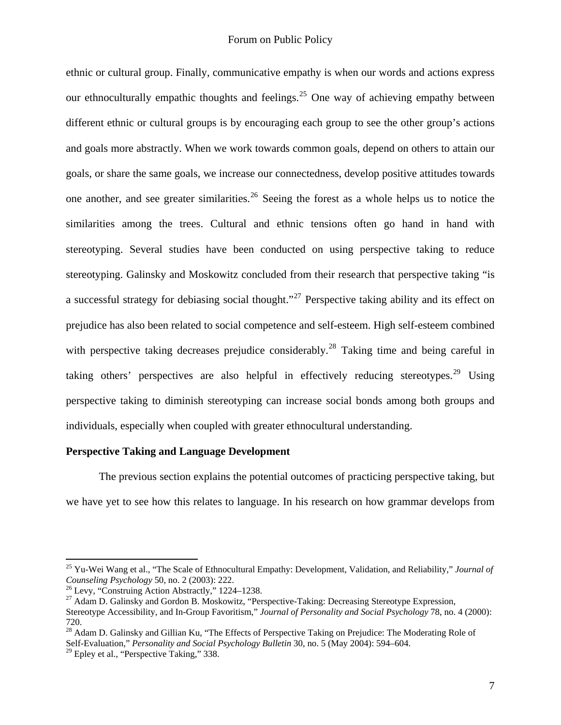ethnic or cultural group. Finally, communicative empathy is when our words and actions express our ethnoculturally empathic thoughts and feelings.<sup>[25](#page-6-0)</sup> One way of achieving empathy between different ethnic or cultural groups is by encouraging each group to see the other group's actions and goals more abstractly. When we work towards common goals, depend on others to attain our goals, or share the same goals, we increase our connectedness, develop positive attitudes towards one another, and see greater similarities.<sup>[26](#page-6-1)</sup> Seeing the forest as a whole helps us to notice the similarities among the trees. Cultural and ethnic tensions often go hand in hand with stereotyping. Several studies have been conducted on using perspective taking to reduce stereotyping. Galinsky and Moskowitz concluded from their research that perspective taking "is a successful strategy for debiasing social thought."<sup>[27](#page-6-2)</sup> Perspective taking ability and its effect on prejudice has also been related to social competence and self-esteem. High self-esteem combined with perspective taking decreases prejudice considerably.<sup>[28](#page-6-3)</sup> Taking time and being careful in taking others' perspectives are also helpful in effectively reducing stereotypes.<sup>[29](#page-6-4)</sup> Using perspective taking to diminish stereotyping can increase social bonds among both groups and individuals, especially when coupled with greater ethnocultural understanding.

# **Perspective Taking and Language Development**

 The previous section explains the potential outcomes of practicing perspective taking, but we have yet to see how this relates to language. In his research on how grammar develops from

<span id="page-6-0"></span><sup>25</sup> Yu-Wei Wang et al., "The Scale of Ethnocultural Empathy: Development, Validation, and Reliability," *Journal of* 

<span id="page-6-1"></span><sup>&</sup>lt;sup>26</sup> Levy, "Construing Action Abstractly," 1224–1238.

<span id="page-6-2"></span><sup>&</sup>lt;sup>27</sup> Adam D. Galinsky and Gordon B. Moskowitz, "Perspective-Taking: Decreasing Stereotype Expression, Stereotype Accessibility, and In-Group Favoritism," *Journal of Personality and Social Psychology* 78, no. 4 (2000): 720.

<span id="page-6-3"></span><sup>&</sup>lt;sup>28</sup> Adam D. Galinsky and Gillian Ku, "The Effects of Perspective Taking on Prejudice: The Moderating Role of Self-Evaluation," *Personality and Social Psychology Bulletin* 30, no. 5 (May 2004): 594–604.

<span id="page-6-4"></span> $29$  Epley et al., "Perspective Taking," 338.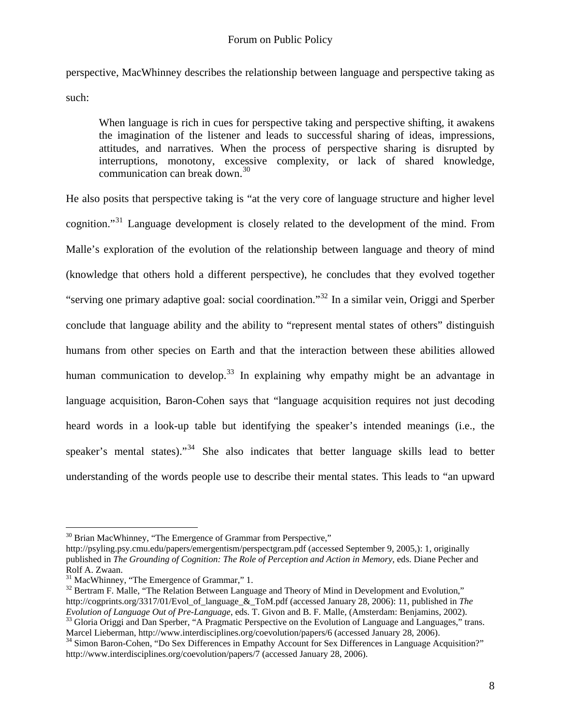perspective, MacWhinney describes the relationship between language and perspective taking as such:

When language is rich in cues for perspective taking and perspective shifting, it awakens the imagination of the listener and leads to successful sharing of ideas, impressions, attitudes, and narratives. When the process of perspective sharing is disrupted by interruptions, monotony, excessive complexity, or lack of shared knowledge, communication can break down.<sup>[30](#page-7-0)</sup>

He also posits that perspective taking is "at the very core of language structure and higher level cognition."[31](#page-7-1) Language development is closely related to the development of the mind. From Malle's exploration of the evolution of the relationship between language and theory of mind (knowledge that others hold a different perspective), he concludes that they evolved together "serving one primary adaptive goal: social coordination."[32](#page-7-2) In a similar vein, Origgi and Sperber conclude that language ability and the ability to "represent mental states of others" distinguish humans from other species on Earth and that the interaction between these abilities allowed human communication to develop.<sup>[33](#page-7-3)</sup> In explaining why empathy might be an advantage in language acquisition, Baron-Cohen says that "language acquisition requires not just decoding heard words in a look-up table but identifying the speaker's intended meanings (i.e., the speaker's mental states)."<sup>[34](#page-7-4)</sup> She also indicates that better language skills lead to better understanding of the words people use to describe their mental states. This leads to "an upward

<span id="page-7-3"></span>

<span id="page-7-0"></span> $30$  Brian MacWhinney, "The Emergence of Grammar from Perspective,"

http://psyling.psy.cmu.edu/papers/emergentism/perspectgram.pdf (accessed September 9, 2005,): 1, originally published in *The Grounding of Cognition: The Role of Perception and Action in Memory*, eds. Diane Pecher and Rolf A. Zwaan.

<span id="page-7-1"></span><sup>&</sup>lt;sup>31</sup> MacWhinney, "The Emergence of Grammar," 1.

<span id="page-7-2"></span><sup>&</sup>lt;sup>32</sup> Bertram F. Malle, "The Relation Between Language and Theory of Mind in Development and Evolution," http://cogprints.org/3317/01/Evol\_of\_language\_&\_ToM.pdf (accessed January 28, 2006): 11, published in *The Evolution of Language Out of Pre-Language*, eds. T. Givon and B. F. Malle, (Amsterdam: Benjamins, 2002).<br><sup>33</sup> Gloria Origgi and Dan Sperber, "A Pragmatic Perspective on the Evolution of Language and Languages," trans.<br>Mar

<span id="page-7-4"></span><sup>&</sup>lt;sup>34</sup> Simon Baron-Cohen, "Do Sex Differences in Empathy Account for Sex Differences in Language Acquisition?" http://www.interdisciplines.org/coevolution/papers/7 (accessed January 28, 2006).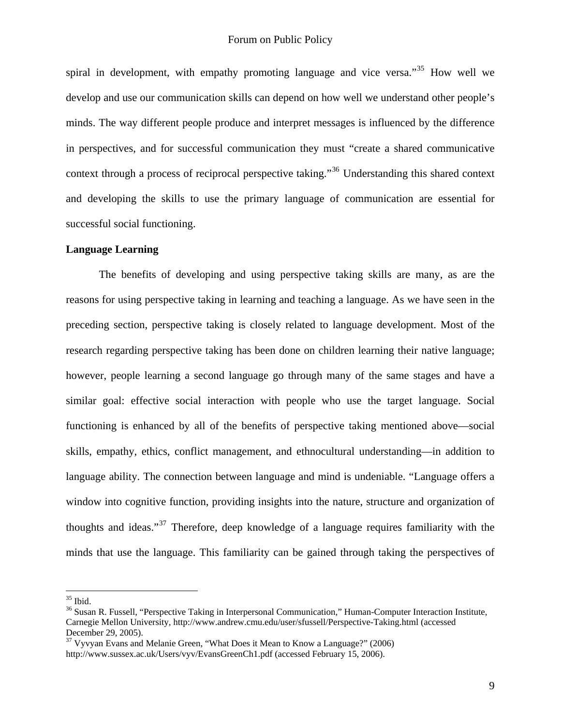spiral in development, with empathy promoting language and vice versa.<sup>[35](#page-8-0)</sup> How well we develop and use our communication skills can depend on how well we understand other people's minds. The way different people produce and interpret messages is influenced by the difference in perspectives, and for successful communication they must "create a shared communicative context through a process of reciprocal perspective taking."[36](#page-8-1) Understanding this shared context and developing the skills to use the primary language of communication are essential for successful social functioning.

# **Language Learning**

 The benefits of developing and using perspective taking skills are many, as are the reasons for using perspective taking in learning and teaching a language. As we have seen in the preceding section, perspective taking is closely related to language development. Most of the research regarding perspective taking has been done on children learning their native language; however, people learning a second language go through many of the same stages and have a similar goal: effective social interaction with people who use the target language. Social functioning is enhanced by all of the benefits of perspective taking mentioned above—social skills, empathy, ethics, conflict management, and ethnocultural understanding—in addition to language ability. The connection between language and mind is undeniable. "Language offers a window into cognitive function, providing insights into the nature, structure and organization of thoughts and ideas."[37](#page-8-2) Therefore, deep knowledge of a language requires familiarity with the minds that use the language. This familiarity can be gained through taking the perspectives of

<sup>35</sup> Ibid.

<span id="page-8-1"></span><span id="page-8-0"></span><sup>&</sup>lt;sup>36</sup> Susan R. Fussell, "Perspective Taking in Interpersonal Communication," Human-Computer Interaction Institute, Carnegie Mellon University, http://www.andrew.cmu.edu/user/sfussell/Perspective-Taking.html (accessed December 29, 2005).

<span id="page-8-2"></span><sup>&</sup>lt;sup>37</sup> Vyvyan Evans and Melanie Green, "What Does it Mean to Know a Language?" (2006) http://www.sussex.ac.uk/Users/vyv/EvansGreenCh1.pdf (accessed February 15, 2006).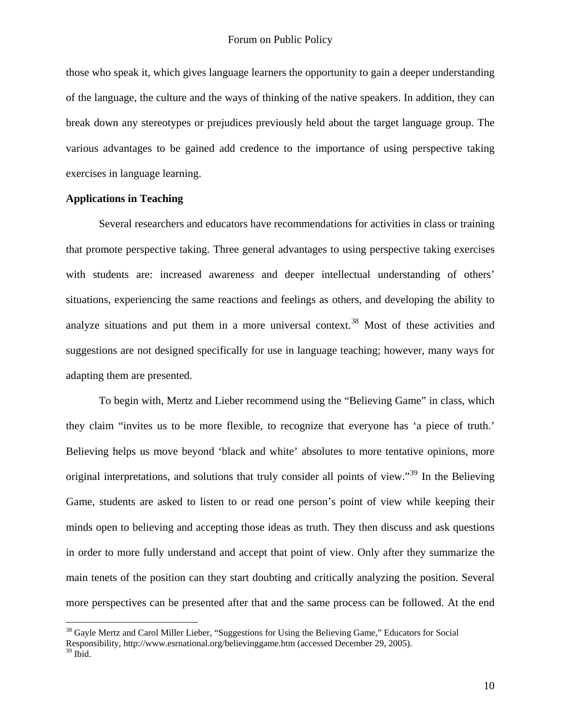those who speak it, which gives language learners the opportunity to gain a deeper understanding of the language, the culture and the ways of thinking of the native speakers. In addition, they can break down any stereotypes or prejudices previously held about the target language group. The various advantages to be gained add credence to the importance of using perspective taking exercises in language learning.

### **Applications in Teaching**

 Several researchers and educators have recommendations for activities in class or training that promote perspective taking. Three general advantages to using perspective taking exercises with students are: increased awareness and deeper intellectual understanding of others' situations, experiencing the same reactions and feelings as others, and developing the ability to analyze situations and put them in a more universal context.<sup>[38](#page-9-0)</sup> Most of these activities and suggestions are not designed specifically for use in language teaching; however, many ways for adapting them are presented.

To begin with, Mertz and Lieber recommend using the "Believing Game" in class, which they claim "invites us to be more flexible, to recognize that everyone has 'a piece of truth.' Believing helps us move beyond 'black and white' absolutes to more tentative opinions, more original interpretations, and solutions that truly consider all points of view."[39](#page-9-1) In the Believing Game, students are asked to listen to or read one person's point of view while keeping their minds open to believing and accepting those ideas as truth. They then discuss and ask questions in order to more fully understand and accept that point of view. Only after they summarize the main tenets of the position can they start doubting and critically analyzing the position. Several more perspectives can be presented after that and the same process can be followed. At the end

<span id="page-9-0"></span><sup>&</sup>lt;sup>38</sup> Gayle Mertz and Carol Miller Lieber, "Suggestions for Using the Believing Game," Educators for Social Responsibility, http://www.esrnational.org/believinggame.htm (accessed December 29, 2005).

<span id="page-9-1"></span> $39$  Ibid.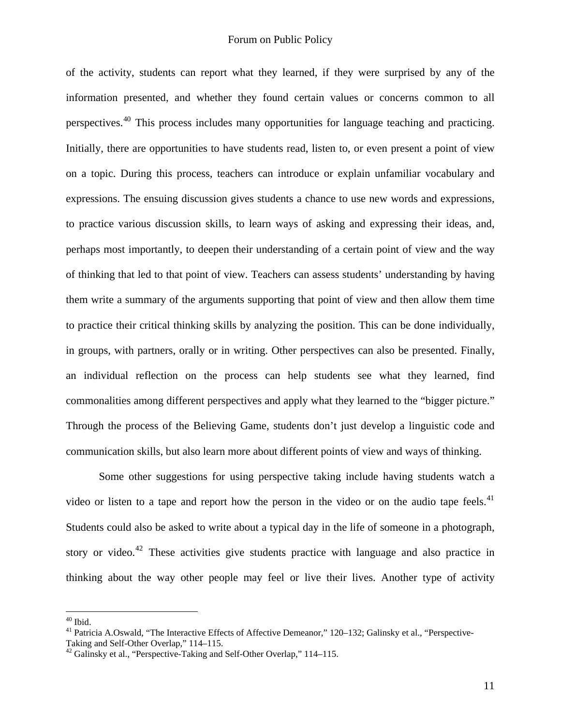of the activity, students can report what they learned, if they were surprised by any of the information presented, and whether they found certain values or concerns common to all perspectives.[40](#page-10-0) This process includes many opportunities for language teaching and practicing. Initially, there are opportunities to have students read, listen to, or even present a point of view on a topic. During this process, teachers can introduce or explain unfamiliar vocabulary and expressions. The ensuing discussion gives students a chance to use new words and expressions, to practice various discussion skills, to learn ways of asking and expressing their ideas, and, perhaps most importantly, to deepen their understanding of a certain point of view and the way of thinking that led to that point of view. Teachers can assess students' understanding by having them write a summary of the arguments supporting that point of view and then allow them time to practice their critical thinking skills by analyzing the position. This can be done individually, in groups, with partners, orally or in writing. Other perspectives can also be presented. Finally, an individual reflection on the process can help students see what they learned, find commonalities among different perspectives and apply what they learned to the "bigger picture." Through the process of the Believing Game, students don't just develop a linguistic code and communication skills, but also learn more about different points of view and ways of thinking.

Some other suggestions for using perspective taking include having students watch a video or listen to a tape and report how the person in the video or on the audio tape feels. $41$ Students could also be asked to write about a typical day in the life of someone in a photograph, story or video.<sup>[42](#page-10-2)</sup> These activities give students practice with language and also practice in thinking about the way other people may feel or live their lives. Another type of activity

<u>.</u>

<span id="page-10-0"></span> $40$  Ibid.

<span id="page-10-1"></span><sup>&</sup>lt;sup>41</sup> Patricia A.Oswald, "The Interactive Effects of Affective Demeanor," 120–132; Galinsky et al., "Perspective-

Taking and Self-Other Overlap," 114–115.

<span id="page-10-2"></span> $42$  Galinsky et al., "Perspective-Taking and Self-Other Overlap," 114–115.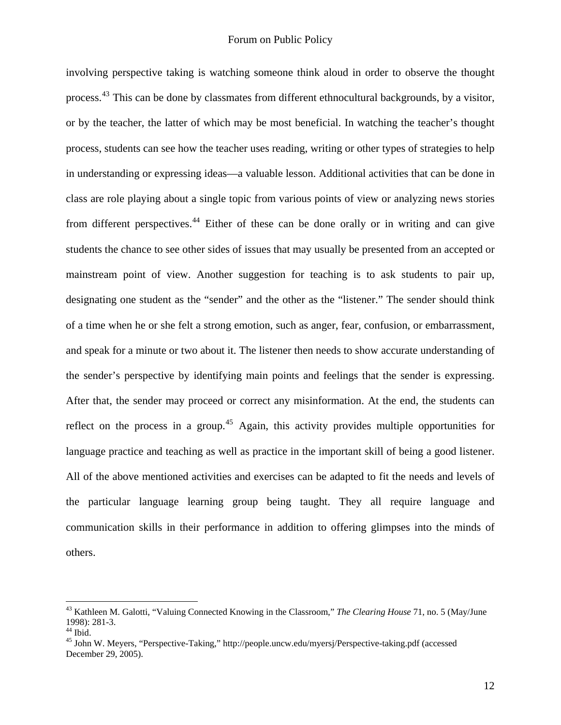involving perspective taking is watching someone think aloud in order to observe the thought process.<sup>[43](#page-11-0)</sup> This can be done by classmates from different ethnocultural backgrounds, by a visitor, or by the teacher, the latter of which may be most beneficial. In watching the teacher's thought process, students can see how the teacher uses reading, writing or other types of strategies to help in understanding or expressing ideas—a valuable lesson. Additional activities that can be done in class are role playing about a single topic from various points of view or analyzing news stories from different perspectives.<sup>[44](#page-11-1)</sup> Either of these can be done orally or in writing and can give students the chance to see other sides of issues that may usually be presented from an accepted or mainstream point of view. Another suggestion for teaching is to ask students to pair up, designating one student as the "sender" and the other as the "listener." The sender should think of a time when he or she felt a strong emotion, such as anger, fear, confusion, or embarrassment, and speak for a minute or two about it. The listener then needs to show accurate understanding of the sender's perspective by identifying main points and feelings that the sender is expressing. After that, the sender may proceed or correct any misinformation. At the end, the students can reflect on the process in a group.<sup>[45](#page-11-2)</sup> Again, this activity provides multiple opportunities for language practice and teaching as well as practice in the important skill of being a good listener. All of the above mentioned activities and exercises can be adapted to fit the needs and levels of the particular language learning group being taught. They all require language and communication skills in their performance in addition to offering glimpses into the minds of others.

<span id="page-11-0"></span><sup>43</sup> Kathleen M. Galotti, "Valuing Connected Knowing in the Classroom," *The Clearing House* 71, no. 5 (May/June 1998): 281-3.

<span id="page-11-1"></span> $44$  Ibid.

<span id="page-11-2"></span><sup>45</sup> John W. Meyers, "Perspective-Taking," http://people.uncw.edu/myersj/Perspective-taking.pdf (accessed December 29, 2005).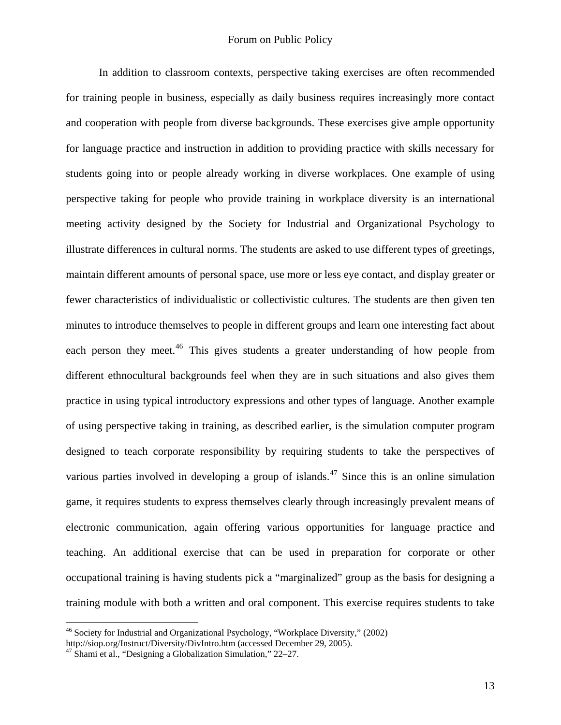In addition to classroom contexts, perspective taking exercises are often recommended for training people in business, especially as daily business requires increasingly more contact and cooperation with people from diverse backgrounds. These exercises give ample opportunity for language practice and instruction in addition to providing practice with skills necessary for students going into or people already working in diverse workplaces. One example of using perspective taking for people who provide training in workplace diversity is an international meeting activity designed by the Society for Industrial and Organizational Psychology to illustrate differences in cultural norms. The students are asked to use different types of greetings, maintain different amounts of personal space, use more or less eye contact, and display greater or fewer characteristics of individualistic or collectivistic cultures. The students are then given ten minutes to introduce themselves to people in different groups and learn one interesting fact about each person they meet.<sup>[46](#page-12-0)</sup> This gives students a greater understanding of how people from different ethnocultural backgrounds feel when they are in such situations and also gives them practice in using typical introductory expressions and other types of language. Another example of using perspective taking in training, as described earlier, is the simulation computer program designed to teach corporate responsibility by requiring students to take the perspectives of various parties involved in developing a group of islands.<sup>[47](#page-12-1)</sup> Since this is an online simulation game, it requires students to express themselves clearly through increasingly prevalent means of electronic communication, again offering various opportunities for language practice and teaching. An additional exercise that can be used in preparation for corporate or other occupational training is having students pick a "marginalized" group as the basis for designing a training module with both a written and oral component. This exercise requires students to take

<span id="page-12-0"></span><sup>46</sup> Society for Industrial and Organizational Psychology, "Workplace Diversity," (2002) http://siop.org/Instruct/Diversity/DivIntro.htm (accessed December 29, 2005). 47 Shami et al., "Designing a Globalization Simulation," 22–27.

<span id="page-12-1"></span>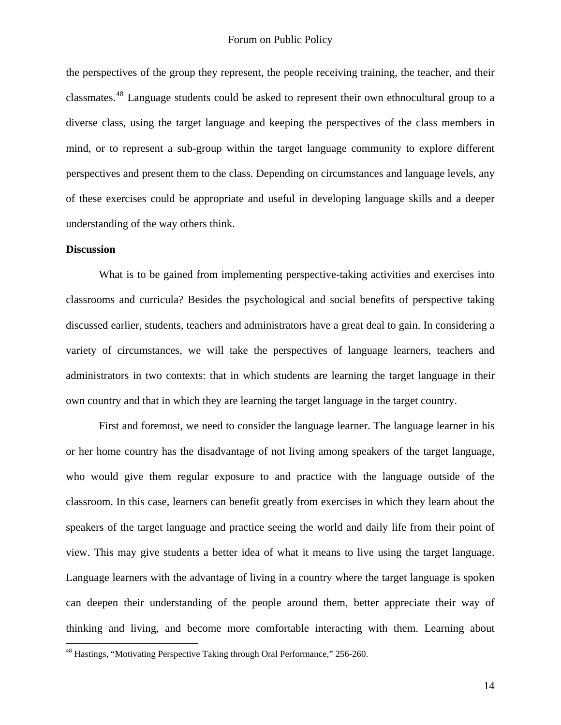the perspectives of the group they represent, the people receiving training, the teacher, and their classmates.[48](#page-13-0) Language students could be asked to represent their own ethnocultural group to a diverse class, using the target language and keeping the perspectives of the class members in mind, or to represent a sub-group within the target language community to explore different perspectives and present them to the class. Depending on circumstances and language levels, any of these exercises could be appropriate and useful in developing language skills and a deeper understanding of the way others think.

#### **Discussion**

 $\overline{a}$ 

What is to be gained from implementing perspective-taking activities and exercises into classrooms and curricula? Besides the psychological and social benefits of perspective taking discussed earlier, students, teachers and administrators have a great deal to gain. In considering a variety of circumstances, we will take the perspectives of language learners, teachers and administrators in two contexts: that in which students are learning the target language in their own country and that in which they are learning the target language in the target country.

 First and foremost, we need to consider the language learner. The language learner in his or her home country has the disadvantage of not living among speakers of the target language, who would give them regular exposure to and practice with the language outside of the classroom. In this case, learners can benefit greatly from exercises in which they learn about the speakers of the target language and practice seeing the world and daily life from their point of view. This may give students a better idea of what it means to live using the target language. Language learners with the advantage of living in a country where the target language is spoken can deepen their understanding of the people around them, better appreciate their way of thinking and living, and become more comfortable interacting with them. Learning about

<span id="page-13-0"></span><sup>48</sup> Hastings, "Motivating Perspective Taking through Oral Performance," 256-260.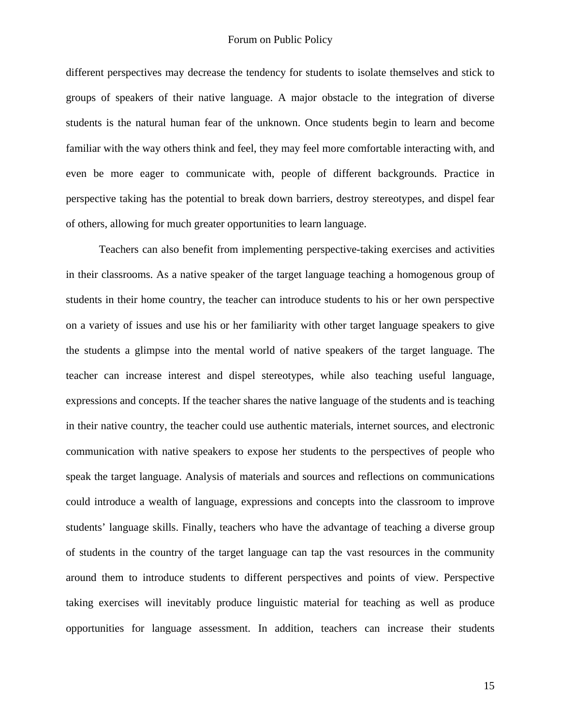different perspectives may decrease the tendency for students to isolate themselves and stick to groups of speakers of their native language. A major obstacle to the integration of diverse students is the natural human fear of the unknown. Once students begin to learn and become familiar with the way others think and feel, they may feel more comfortable interacting with, and even be more eager to communicate with, people of different backgrounds. Practice in perspective taking has the potential to break down barriers, destroy stereotypes, and dispel fear of others, allowing for much greater opportunities to learn language.

 Teachers can also benefit from implementing perspective-taking exercises and activities in their classrooms. As a native speaker of the target language teaching a homogenous group of students in their home country, the teacher can introduce students to his or her own perspective on a variety of issues and use his or her familiarity with other target language speakers to give the students a glimpse into the mental world of native speakers of the target language. The teacher can increase interest and dispel stereotypes, while also teaching useful language, expressions and concepts. If the teacher shares the native language of the students and is teaching in their native country, the teacher could use authentic materials, internet sources, and electronic communication with native speakers to expose her students to the perspectives of people who speak the target language. Analysis of materials and sources and reflections on communications could introduce a wealth of language, expressions and concepts into the classroom to improve students' language skills. Finally, teachers who have the advantage of teaching a diverse group of students in the country of the target language can tap the vast resources in the community around them to introduce students to different perspectives and points of view. Perspective taking exercises will inevitably produce linguistic material for teaching as well as produce opportunities for language assessment. In addition, teachers can increase their students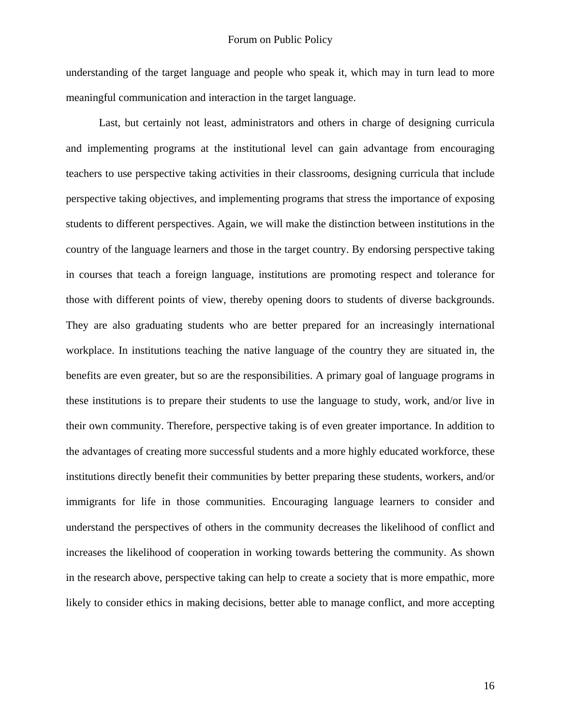understanding of the target language and people who speak it, which may in turn lead to more meaningful communication and interaction in the target language.

 Last, but certainly not least, administrators and others in charge of designing curricula and implementing programs at the institutional level can gain advantage from encouraging teachers to use perspective taking activities in their classrooms, designing curricula that include perspective taking objectives, and implementing programs that stress the importance of exposing students to different perspectives. Again, we will make the distinction between institutions in the country of the language learners and those in the target country. By endorsing perspective taking in courses that teach a foreign language, institutions are promoting respect and tolerance for those with different points of view, thereby opening doors to students of diverse backgrounds. They are also graduating students who are better prepared for an increasingly international workplace. In institutions teaching the native language of the country they are situated in, the benefits are even greater, but so are the responsibilities. A primary goal of language programs in these institutions is to prepare their students to use the language to study, work, and/or live in their own community. Therefore, perspective taking is of even greater importance. In addition to the advantages of creating more successful students and a more highly educated workforce, these institutions directly benefit their communities by better preparing these students, workers, and/or immigrants for life in those communities. Encouraging language learners to consider and understand the perspectives of others in the community decreases the likelihood of conflict and increases the likelihood of cooperation in working towards bettering the community. As shown in the research above, perspective taking can help to create a society that is more empathic, more likely to consider ethics in making decisions, better able to manage conflict, and more accepting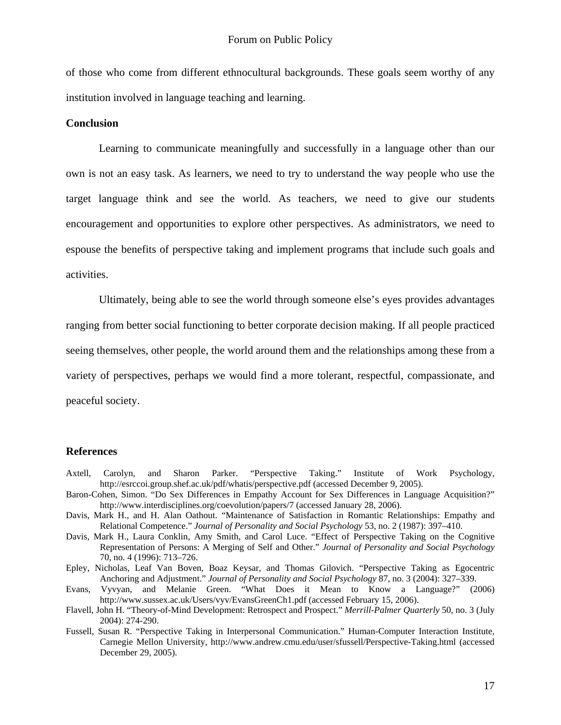of those who come from different ethnocultural backgrounds. These goals seem worthy of any institution involved in language teaching and learning.

#### **Conclusion**

 Learning to communicate meaningfully and successfully in a language other than our own is not an easy task. As learners, we need to try to understand the way people who use the target language think and see the world. As teachers, we need to give our students encouragement and opportunities to explore other perspectives. As administrators, we need to espouse the benefits of perspective taking and implement programs that include such goals and activities.

 Ultimately, being able to see the world through someone else's eyes provides advantages ranging from better social functioning to better corporate decision making. If all people practiced seeing themselves, other people, the world around them and the relationships among these from a variety of perspectives, perhaps we would find a more tolerant, respectful, compassionate, and peaceful society.

#### **References**

- Axtell, Carolyn, and Sharon Parker. "Perspective Taking." Institute of Work Psychology, http://esrccoi.group.shef.ac.uk/pdf/whatis/perspective.pdf (accessed December 9, 2005).
- Baron-Cohen, Simon. "Do Sex Differences in Empathy Account for Sex Differences in Language Acquisition?" http://www.interdisciplines.org/coevolution/papers/7 (accessed January 28, 2006).
- Davis, Mark H., and H. Alan Oathout. "Maintenance of Satisfaction in Romantic Relationships: Empathy and Relational Competence." *Journal of Personality and Social Psychology* 53, no. 2 (1987): 397–410.
- Davis, Mark H., Laura Conklin, Amy Smith, and Carol Luce. "Effect of Perspective Taking on the Cognitive Representation of Persons: A Merging of Self and Other." *Journal of Personality and Social Psychology* 70, no. 4 (1996): 713–726.
- Epley, Nicholas, Leaf Van Boven, Boaz Keysar, and Thomas Gilovich. "Perspective Taking as Egocentric Anchoring and Adjustment." *Journal of Personality and Social Psychology* 87, no. 3 (2004): 327–339.
- Evans, Vyvyan, and Melanie Green. "What Does it Mean to Know a Language?" (2006) http://www.sussex.ac.uk/Users/vyv/EvansGreenCh1.pdf (accessed February 15, 2006).
- Flavell, John H. "Theory-of-Mind Development: Retrospect and Prospect." *Merrill-Palmer Quarterly* 50, no. 3 (July 2004): 274-290.
- Fussell, Susan R. "Perspective Taking in Interpersonal Communication." Human-Computer Interaction Institute, Carnegie Mellon University, http://www.andrew.cmu.edu/user/sfussell/Perspective-Taking.html (accessed December 29, 2005).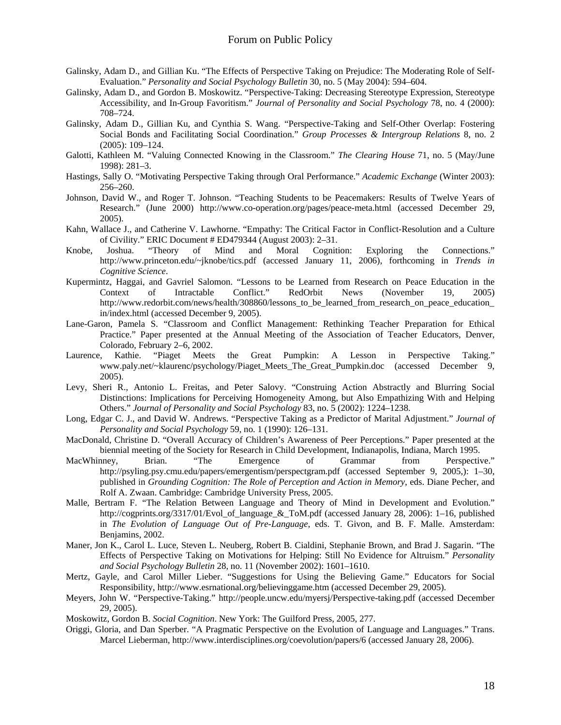- Galinsky, Adam D., and Gillian Ku. "The Effects of Perspective Taking on Prejudice: The Moderating Role of Self-Evaluation." *Personality and Social Psychology Bulletin* 30, no. 5 (May 2004): 594–604.
- Galinsky, Adam D., and Gordon B. Moskowitz. "Perspective-Taking: Decreasing Stereotype Expression, Stereotype Accessibility, and In-Group Favoritism." *Journal of Personality and Social Psychology* 78, no. 4 (2000): 708–724.
- Galinsky, Adam D., Gillian Ku, and Cynthia S. Wang. "Perspective-Taking and Self-Other Overlap: Fostering Social Bonds and Facilitating Social Coordination." *Group Processes & Intergroup Relations* 8, no. 2 (2005): 109–124.
- Galotti, Kathleen M. "Valuing Connected Knowing in the Classroom." *The Clearing House* 71, no. 5 (May/June 1998): 281–3.
- Hastings, Sally O. "Motivating Perspective Taking through Oral Performance." *Academic Exchange* (Winter 2003): 256–260.
- Johnson, David W., and Roger T. Johnson. "Teaching Students to be Peacemakers: Results of Twelve Years of Research." (June 2000) http://www.co-operation.org/pages/peace-meta.html (accessed December 29, 2005).
- Kahn, Wallace J., and Catherine V. Lawhorne. "Empathy: The Critical Factor in Conflict-Resolution and a Culture of Civility." ERIC Document # ED479344 (August 2003): 2–31.<br>Joshua. "Theory of Mind and Moral Cogniti
- Knobe, Joshua. "Theory of Mind and Moral Cognition: Exploring the Connections." http://www.princeton.edu/~jknobe/tics.pdf (accessed January 11, 2006), forthcoming in *Trends in Cognitive Science*.
- Kupermintz, Haggai, and Gavriel Salomon. "Lessons to be Learned from Research on Peace Education in the Context of Intractable Conflict." RedOrbit News (November 19, 2005) http://www.redorbit.com/news/health/308860/lessons\_to\_be\_learned\_from\_research\_on\_peace\_education\_ in/index.html (accessed December 9, 2005).
- Lane-Garon, Pamela S. "Classroom and Conflict Management: Rethinking Teacher Preparation for Ethical Practice." Paper presented at the Annual Meeting of the Association of Teacher Educators, Denver, Colorado, February 2–6, 2002.
- Laurence, Kathie. "Piaget Meets the Great Pumpkin: A Lesson in Perspective Taking." www.paly.net/~klaurenc/psychology/Piaget\_Meets\_The\_Great\_Pumpkin.doc (accessed December 9, 2005).
- Levy, Sheri R., Antonio L. Freitas, and Peter Salovy. "Construing Action Abstractly and Blurring Social Distinctions: Implications for Perceiving Homogeneity Among, but Also Empathizing With and Helping Others." *Journal of Personality and Social Psychology* 83, no. 5 (2002): 1224–1238.
- Long, Edgar C. J., and David W. Andrews. "Perspective Taking as a Predictor of Marital Adjustment." *Journal of Personality and Social Psychology* 59, no. 1 (1990): 126–131.
- MacDonald, Christine D. "Overall Accuracy of Children's Awareness of Peer Perceptions." Paper presented at the biennial meeting of the Society for Research in Child Development, Indianapolis, Indiana, March 1995.
- MacWhinney, Brian. "The Emergence of Grammar from Perspective." http://psyling.psy.cmu.edu/papers/emergentism/perspectgram.pdf (accessed September 9, 2005,): 1–30, published in *Grounding Cognition: The Role of Perception and Action in Memory*, eds. Diane Pecher, and Rolf A. Zwaan. Cambridge: Cambridge University Press, 2005.
- Malle, Bertram F. "The Relation Between Language and Theory of Mind in Development and Evolution." http://cogprints.org/3317/01/Evol\_of\_language\_&\_ToM.pdf (accessed January 28, 2006): 1–16, published in *The Evolution of Language Out of Pre-Language*, eds. T. Givon, and B. F. Malle. Amsterdam: Benjamins, 2002.
- Maner, Jon K., Carol L. Luce, Steven L. Neuberg, Robert B. Cialdini, Stephanie Brown, and Brad J. Sagarin. "The Effects of Perspective Taking on Motivations for Helping: Still No Evidence for Altruism." *Personality and Social Psychology Bulletin* 28, no. 11 (November 2002): 1601–1610.
- Mertz, Gayle, and Carol Miller Lieber. "Suggestions for Using the Believing Game." Educators for Social Responsibility, http://www.esrnational.org/believinggame.htm (accessed December 29, 2005).
- Meyers, John W. "Perspective-Taking." http://people.uncw.edu/myersj/Perspective-taking.pdf (accessed December 29, 2005).
- Moskowitz, Gordon B. *Social Cognition*. New York: The Guilford Press, 2005, 277.
- Origgi, Gloria, and Dan Sperber. "A Pragmatic Perspective on the Evolution of Language and Languages." Trans. Marcel Lieberman, http://www.interdisciplines.org/coevolution/papers/6 (accessed January 28, 2006).